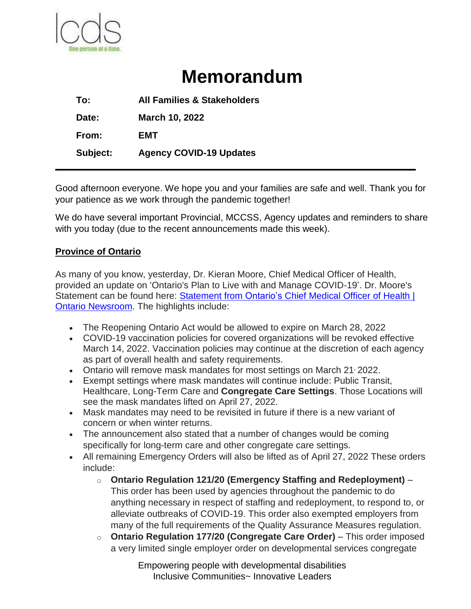

# **Memorandum**

**To: All Families & Stakeholders Date: March 10, 2022 From: EMT Subject: Agency COVID-19 Updates**

Good afternoon everyone. We hope you and your families are safe and well. Thank you for your patience as we work through the pandemic together!

We do have several important Provincial, MCCSS, Agency updates and reminders to share with you today (due to the recent announcements made this week).

## **Province of Ontario**

As many of you know, yesterday, Dr. Kieran Moore, Chief Medical Officer of Health, provided an update on 'Ontario's Plan to Live with and Manage COVID-19'. Dr. Moore's Statement can be found here: [Statement](https://linkprotect.cudasvc.com/url?a=https%3a%2f%2fnews.ontario.ca%2fen%2fstatement%2f1001732%2fstatement-from-ontarios-chief-medical-officer-of-health&c=E,1,3lZSgJ_1WmuRnL3i1szJqzBXuKJZCrZulTJBJ644yEZ_PbmlfQ4vYPEx8yCWqgemP94ttwPZrOhjDcz0XyFcLSD1o_5cgn7rESF7_ugOFIJWipAXE5SGeA,,&typo=1) from Ontario's Chief Medical Officer of Health | Ontario [Newsroom.](https://linkprotect.cudasvc.com/url?a=https%3a%2f%2fnews.ontario.ca%2fen%2fstatement%2f1001732%2fstatement-from-ontarios-chief-medical-officer-of-health&c=E,1,3lZSgJ_1WmuRnL3i1szJqzBXuKJZCrZulTJBJ644yEZ_PbmlfQ4vYPEx8yCWqgemP94ttwPZrOhjDcz0XyFcLSD1o_5cgn7rESF7_ugOFIJWipAXE5SGeA,,&typo=1) The highlights include:

- The Reopening Ontario Act would be allowed to expire on March 28, 2022
- COVID-19 vaccination policies for covered organizations will be revoked effective March 14, 2022. Vaccination policies may continue at the discretion of each agency as part of overall health and safety requirements.
- Ontario will remove mask mandates for most settings on March 21, 2022.
- Exempt settings where mask mandates will continue include: Public Transit, Healthcare, Long-Term Care and **Congregate Care Settings**. Those Locations will see the mask mandates lifted on April 27, 2022.
- Mask mandates may need to be revisited in future if there is a new variant of concern or when winter returns.
- The announcement also stated that a number of changes would be coming specifically for long-term care and other congregate care settings.
- All remaining Emergency Orders will also be lifted as of April 27, 2022 These orders include:
	- o **Ontario Regulation 121/20 (Emergency Staffing and Redeployment)** This order has been used by agencies throughout the pandemic to do anything necessary in respect of staffing and redeployment, to respond to, or alleviate outbreaks of COVID-19. This order also exempted employers from many of the full requirements of the Quality Assurance Measures regulation.
	- o **Ontario Regulation 177/20 (Congregate Care Order)** This order imposed a very limited single employer order on developmental services congregate

Empowering people with developmental disabilities Inclusive Communities~ Innovative Leaders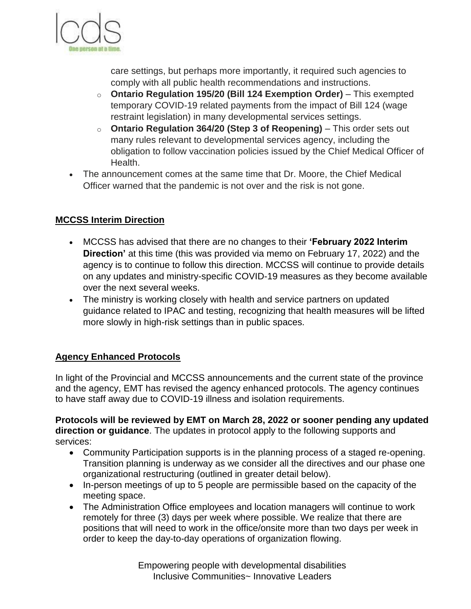

care settings, but perhaps more importantly, it required such agencies to comply with all public health recommendations and instructions.

- o **Ontario Regulation 195/20 (Bill 124 Exemption Order)** This exempted temporary COVID-19 related payments from the impact of Bill 124 (wage restraint legislation) in many developmental services settings.
- o **Ontario Regulation 364/20 (Step 3 of Reopening)** This order sets out many rules relevant to developmental services agency, including the obligation to follow vaccination policies issued by the Chief Medical Officer of Health.
- The announcement comes at the same time that Dr. Moore, the Chief Medical Officer warned that the pandemic is not over and the risk is not gone.

# **MCCSS Interim Direction**

- MCCSS has advised that there are no changes to their **'February 2022 Interim Direction'** at this time (this was provided via memo on February 17, 2022) and the agency is to continue to follow this direction. MCCSS will continue to provide details on any updates and ministry-specific COVID-19 measures as they become available over the next several weeks.
- The ministry is working closely with health and service partners on updated guidance related to IPAC and testing, recognizing that health measures will be lifted more slowly in high-risk settings than in public spaces.

## **Agency Enhanced Protocols**

In light of the Provincial and MCCSS announcements and the current state of the province and the agency, EMT has revised the agency enhanced protocols. The agency continues to have staff away due to COVID-19 illness and isolation requirements.

**Protocols will be reviewed by EMT on March 28, 2022 or sooner pending any updated direction or guidance**. The updates in protocol apply to the following supports and services:

- Community Participation supports is in the planning process of a staged re-opening. Transition planning is underway as we consider all the directives and our phase one organizational restructuring (outlined in greater detail below).
- In-person meetings of up to 5 people are permissible based on the capacity of the meeting space.
- The Administration Office employees and location managers will continue to work remotely for three (3) days per week where possible. We realize that there are positions that will need to work in the office/onsite more than two days per week in order to keep the day-to-day operations of organization flowing.

Empowering people with developmental disabilities Inclusive Communities~ Innovative Leaders